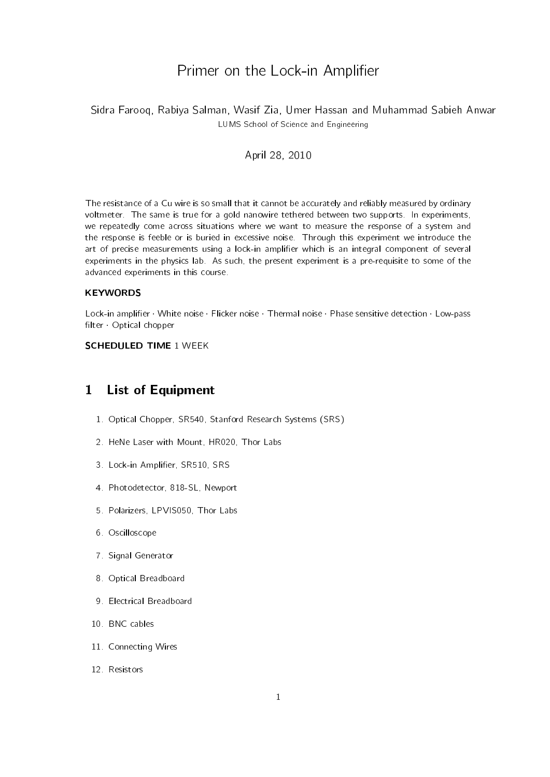# Primer on the Lock-in Amplifier

### Sidra Farooq, Rabiya Salman, Wasif Zia, Umer Hassan and Muhammad Sabieh Anwar LUMS School of Science and Engineering

#### April 28, 2010

The resistance of a Cu wire is so small that it cannot be accurately and reliably measured by ordinary voltmeter. The same is true for a gold nanowire tethered between two supports. In experiments, we repeatedly come across situations where we want to measure the response of a system and the response is feeble or is buried in excessive noise. Through this experiment we introduce the art of precise measurements using a lock-in amplifier which is an integral component of several experiments in the physics lab. As such, the present experiment is a pre-requisite to some of the advanced experiments in this course.

#### **KEYWORDS**

Lock-in amplifier · White noise · Flicker noise · Thermal noise · Phase sensitive detection · Low-pass filter Optical chopper

#### SCHEDULED TIME 1 WEEK

## 1 List of Equipment

- 1. Optical Chopper, SR540, Stanford Research Systems (SRS)
- 2. HeNe Laser with Mount, HR020, Thor Labs
- 3. Lock-in Amplifier, SR510, SRS
- 4. Photodetector, 818-SL, Newport
- 5. Polarizers, LPVIS050, Thor Labs
- 6. Oscilloscope
- 7. Signal Generator
- 8. Optical Breadboard
- 9. Electrical Breadboard
- 10. BNC cables
- 11. Connecting Wires
- 12. Resistors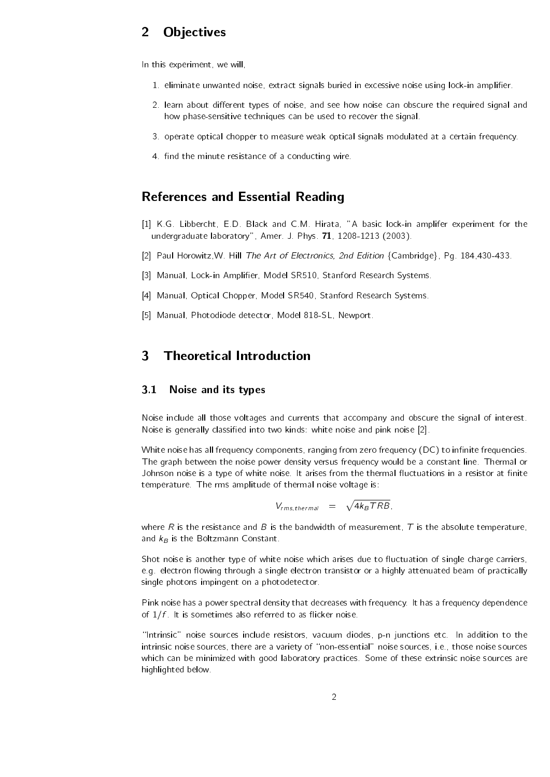# 2 Objectives

In this experiment, we will,

- 1. eliminate unwanted noise, extract signals buried in excessive noise using lock-in amplifier.
- 2. learn about different types of noise, and see how noise can obscure the required signal and how phase-sensitive techniques can be used to recover the signal.
- 3. operate optical chopper to measure weak optical signals modulated at a certain frequency.
- 4. find the minute resistance of a conducting wire.

## References and Essential Reading

- [1] K.G. Libbercht, E.D. Black and C.M. Hirata, "A basic lock-in amplifer experiment for the undergraduate laboratory", Amer. J. Phys. 71, 1208-1213 (2003).
- [2] Paul Horowitz, W. Hill The Art of Electronics, 2nd Edition {Cambridge}, Pg. 184,430-433.
- [3] Manual, Lock-in Amplifier, Model SR510, Stanford Research Systems.
- [4] Manual, Optical Chopper, Model SR540, Stanford Research Systems.
- [5] Manual, Photodiode detector, Model 818-SL, Newport.

# 3 Theoretical Introduction

#### 3.1 Noise and its types

Noise include all those voltages and currents that accompany and obscure the signal of interest. Noise is generally classied into two kinds: white noise and pink noise [2].

White noise has all frequency components, ranging from zero frequency  $(DC)$  to infinite frequencies. The graph between the noise power density versus frequency would be a constant line. Thermal or Johnson noise is a type of white noise. It arises from the thermal fluctuations in a resistor at finite temperature. The rms amplitude of thermal noise voltage is:

$$
V_{rms, thermal} = \sqrt{4k_BTRB},
$$

where R is the resistance and B is the bandwidth of measurement, T is the absolute temperature, and  $k_B$  is the Boltzmann Constant.

Shot noise is another type of white noise which arises due to fluctuation of single charge carriers, e.g. electron flowing through a single electron transistor or a highly attenuated beam of practically single photons impingent on a photodetector.

Pink noise has a power spectral density that decreases with frequency. It has a frequency dependence of  $1/f$ . It is sometimes also referred to as flicker noise.

\Intrinsic" noise sources include resistors, vacuum diodes, p-n junctions etc. In addition to the intrinsic noise sources, there are a variety of "non-essential" noise sources, i.e., those noise sources which can be minimized with good laboratory practices. Some of these extrinsic noise sources are highlighted below.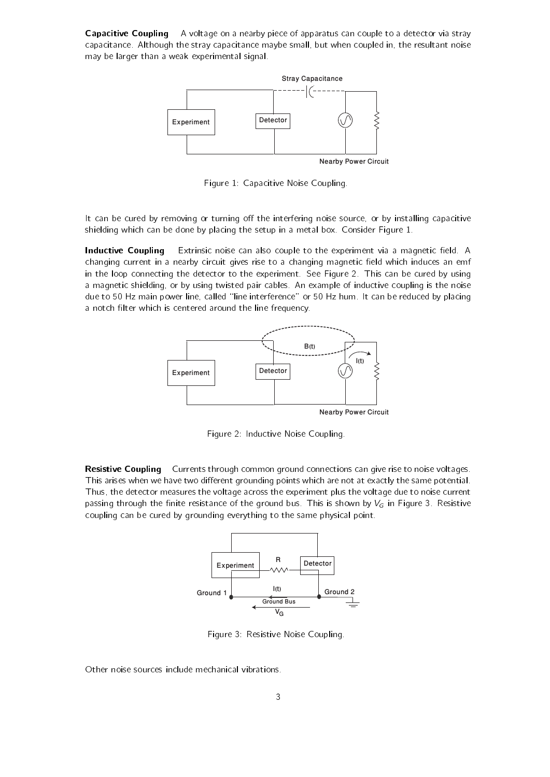**Capacitive Coupling** A voltage on a nearby piece of apparatus can couple to a detector via stray capacitance. Although the stray capacitance maybe small, but when coupled in, the resultant noise may be larger than a weak experimental signal.



Nearby Power Circuit

Figure 1: Capacitive Noise Coupling.

It can be cured by removing or turning off the interfering noise source, or by installing capacitive shielding which can be done by placing the setup in a metal box. Consider Figure 1.

Inductive Coupling Extrinsic noise can also couple to the experiment via a magnetic field. A changing current in a nearby circuit gives rise to a changing magnetic field which induces an emf in the loop connecting the detector to the experiment. See Figure 2. This can be cured by using a magnetic shielding, or by using twisted pair cables. An example of inductive coupling is the noise due to 50 Hz main power line, called "line interference" or 50 Hz hum. It can be reduced by placing a notch filter which is centered around the line frequency.



Nearby Power Circuit

Figure 2: Inductive Noise Coupling.

Resistive Coupling Currents through common ground connections can give rise to noise voltages. This arises when we have two different grounding points which are not at exactly the same potential. Thus, the detector measures the voltage across the experiment plus the voltage due to noise current passing through the finite resistance of the ground bus. This is shown by  $V_G$  in Figure 3. Resistive coupling can be cured by grounding everything to the same physical point.



Figure 3: Resistive Noise Coupling.

Other noise sources include mechanical vibrations.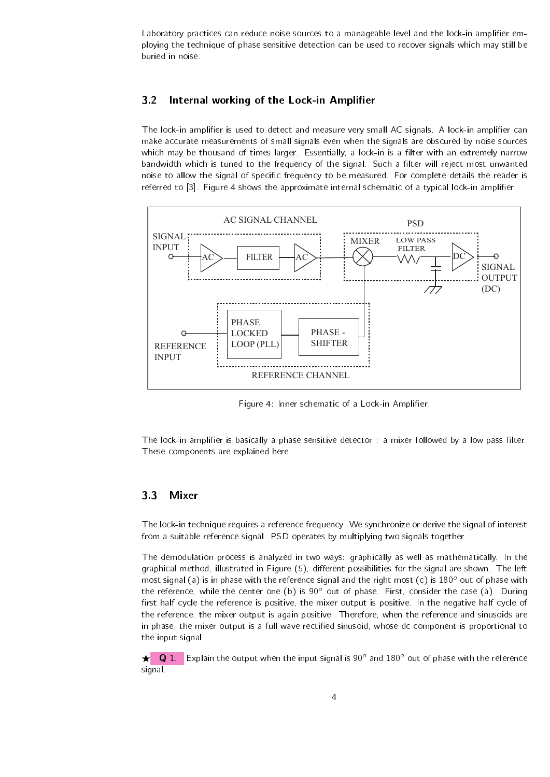Laboratory practices can reduce noise sources to a manageable level and the lock-in amplifier employing the technique of phase sensitive detection can be used to recover signals which may still be buried in noise.

#### 3.2 Internal working of the Lock-in Amplifier

The lock-in amplifier is used to detect and measure very small AC signals. A lock-in amplifier can make accurate measurements of small signals even when the signals are obscured by noise sources which may be thousand of times larger. Essentially, a lock-in is a filter with an extremely narrow bandwidth which is tuned to the frequency of the signal. Such a filter will reject most unwanted noise to allow the signal of specific frequency to be measured. For complete details the reader is referred to [3]. Figure 4 shows the approximate internal schematic of a typical lock-in amplifier.



Figure 4: Inner schematic of a Lock-in Amplifier.

The lock-in amplifier is basically a phase sensitive detector : a mixer followed by a low pass filter. These components are explained here.

#### 3.3 Mixer

The lock-in technique requires a reference frequency. We synchronize or derive the signal of interest from a suitable reference signal. PSD operates by multiplying two signals together.

The demodulation process is analyzed in two ways: graphically as well as mathematically. In the graphical method, illustrated in Figure (5), different possibilities for the signal are shown. The left most signal (a) is in phase with the reference signal and the right most (c) is  $180^\circ$  out of phase with the reference, while the center one (b) is 90 $^{\circ}$  out of phase. First, consider the case (a). During first half cycle the reference is positive, the mixer output is positive. In the negative half cycle of the reference, the mixer output is again positive. Therefore, when the reference and sinusoids are in phase, the mixer output is a full wave rectied sinusoid, whose dc component is proportional to the input signal.

 $\star$  Q 1. Explain the output when the input signal is 90° and 180° out of phase with the reference signal.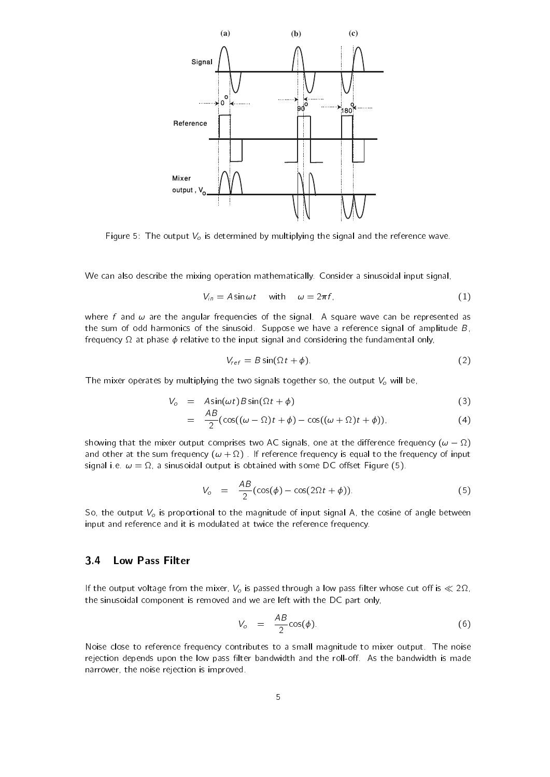

Figure 5: The output  $V_o$  is determined by multiplying the signal and the reference wave.

We can also describe the mixing operation mathematically. Consider a sinusoidal input signal,

$$
V_{in} = A \sin \omega t \quad \text{with} \quad \omega = 2\pi f,\tag{1}
$$

where f and  $\omega$  are the angular frequencies of the signal. A square wave can be represented as the sum of odd harmonics of the sinusoid. Suppose we have a reference signal of amplitude  $B$ , frequency  $\Omega$  at phase  $\phi$  relative to the input signal and considering the fundamental only,

$$
V_{ref} = B \sin(\Omega t + \phi). \tag{2}
$$

The mixer operates by multiplying the two signals together so, the output  $V_o$  will be,

$$
V_o = A \sin(\omega t) B \sin(\Omega t + \phi) \tag{3}
$$

$$
= \frac{AB}{2}(\cos((\omega - \Omega)t + \phi) - \cos((\omega + \Omega)t + \phi)). \tag{4}
$$

showing that the mixer output comprises two AC signals, one at the difference frequency  $(\omega - \Omega)$ and other at the sum frequency  $(\omega + \Omega)$  . If reference frequency is equal to the frequency of input signal i.e.  $\omega = \Omega$ , a sinusoidal output is obtained with some DC offset Figure (5).

$$
V_o = \frac{AB}{2}(\cos(\phi) - \cos(2\Omega t + \phi)).
$$
\n(5)

So, the output  $V<sub>o</sub>$  is proportional to the magnitude of input signal A, the cosine of angle between input and reference and it is modulated at twice the reference frequency.

#### 3.4 Low Pass Filter

If the output voltage from the mixer,  $V_o$  is passed through a low pass filter whose cut off is  $\ll 2\Omega$ , the sinusoidal component is removed and we are left with the DC part only,

$$
V_o = \frac{AB}{2} \cos(\phi). \tag{6}
$$

Noise close to reference frequency contributes to a small magnitude to mixer output. The noise rejection depends upon the low pass filter bandwidth and the roll-off. As the bandwidth is made narrower, the noise rejection is improved.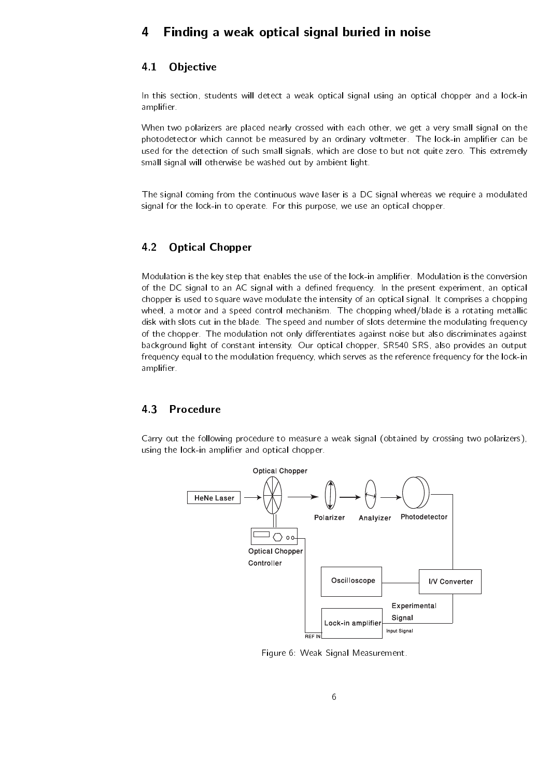# 4 Finding a weak optical signal buried in noise

#### 4.1 Objective

In this section, students will detect a weak optical signal using an optical chopper and a lock-in amplifier.

When two polarizers are placed nearly crossed with each other, we get a very small signal on the photodetector which cannot be measured by an ordinary voltmeter. The lock-in amplifier can be used for the detection of such small signals, which are close to but not quite zero. This extremely small signal will otherwise be washed out by ambient light.

The signal coming from the continuous wave laser is a DC signal whereas we require a modulated signal for the lock-in to operate. For this purpose, we use an optical chopper.

#### 4.2 Optical Chopper

Modulation is the key step that enables the use of the lock-in amplifier. Modulation is the conversion of the DC signal to an AC signal with a defined frequency. In the present experiment, an optical chopper is used to square wave modulate the intensity of an optical signal. It comprises a chopping wheel, a motor and a speed control mechanism. The chopping wheel/blade is a rotating metallic disk with slots cut in the blade. The speed and number of slots determine the modulating frequency of the chopper. The modulation not only differentiates against noise but also discriminates against background light of constant intensity. Our optical chopper, SR540 SRS, also provides an output frequency equal to the modulation frequency, which serves as the reference frequency for the lock-in amplifier.

#### 4.3 Procedure

Carry out the following procedure to measure a weak signal (obtained by crossing two polarizers), using the lock-in amplifier and optical chopper.



Figure 6: Weak Signal Measurement.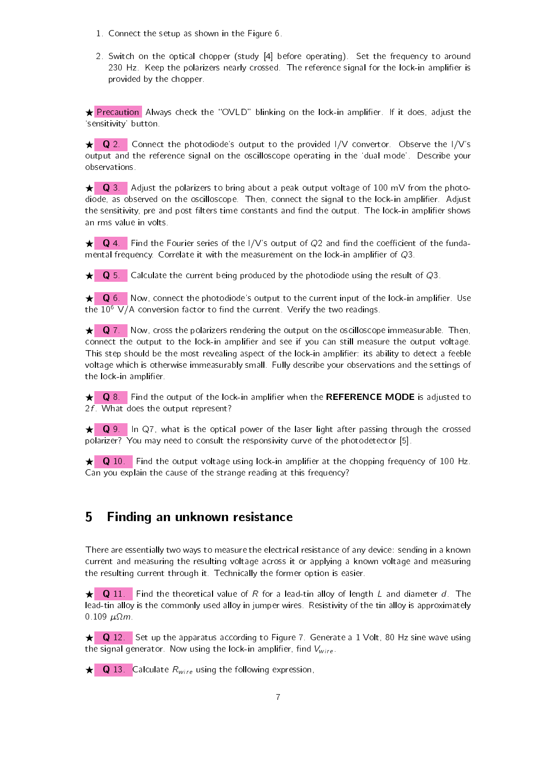- 1. Connect the setup as shown in the Figure 6.
- 2. Switch on the optical chopper (study [4] before operating). Set the frequency to around 230 Hz. Keep the polarizers nearly crossed. The reference signal for the lock-in amplifier is provided by the chopper.

Frecaution Always check the "OVLD" blinking on the lock-in amplifier. If it does, adjust the `sensitivity' button.

 $\star$  Q 2. Connect the photodiode's output to the provided I/V convertor. Observe the I/V's output and the reference signal on the oscilloscope operating in the `dual mode'. Describe your observations.

 $\star$  Q 3. Adjust the polarizers to bring about a peak output voltage of 100 mV from the photodiode, as observed on the oscilloscope. Then, connect the signal to the lock-in amplier. Adjust the sensitivity, pre and post filters time constants and find the output. The lock-in amplifier shows an rms value in volts.

 $\star$  Q 4. Find the Fourier series of the I/V's output of Q2 and find the coefficient of the fundamental frequency. Correlate it with the measurement on the lock-in amplifier of  $Q_3$ .

 $\star$  Q 5. Calculate the current being produced by the photodiode using the result of Q3.

 $\star$  Q 6. Now, connect the photodiode's output to the current input of the lock-in amplifier. Use the  $10^6$  V/A conversion factor to find the current. Verify the two readings.

 $\star$  Q 7. Now, cross the polarizers rendering the output on the oscilloscope immeasurable. Then, connect the output to the lock-in amplifier and see if you can still measure the output voltage. This step should be the most revealing aspect of the lock-in amplifier: its ability to detect a feeble voltage which is otherwise immeasurably small. Fully describe your observations and the settings of the lock-in amplifier.

 $\star$  Q 8. Find the output of the lock-in amplifier when the REFERENCE MODE is adjusted to  $2f$  What does the output represent?

 $\star$  Q 9. In Q7, what is the optical power of the laser light after passing through the crossed polarizer? You may need to consult the responsivity curve of the photodetector [5].

 $\star$  Q 10. Find the output voltage using lock-in amplifier at the chopping frequency of 100 Hz. Can you explain the cause of the strange reading at this frequency?

### 5 Finding an unknown resistance

There are essentially two ways to measure the electrical resistance of any device: sending in a known current and measuring the resulting voltage across it or applying a known voltage and measuring the resulting current through it. Technically the former option is easier.

 $\star$  Q 11. Find the theoretical value of R for a lead-tin alloy of length L and diameter d. The lead-tin alloy is the commonly used alloy in jumper wires. Resistivity of the tin alloy is approximately 0.109  $\mu$ Ω $m$ .

 $\star$  Q 12. Set up the apparatus according to Figure 7. Generate a 1 Volt, 80 Hz sine wave using the signal generator. Now using the lock-in amplifier, find  $V_{wire}$ .

 $\star$  Q 13. Calculate  $R_{wire}$  using the following expression,